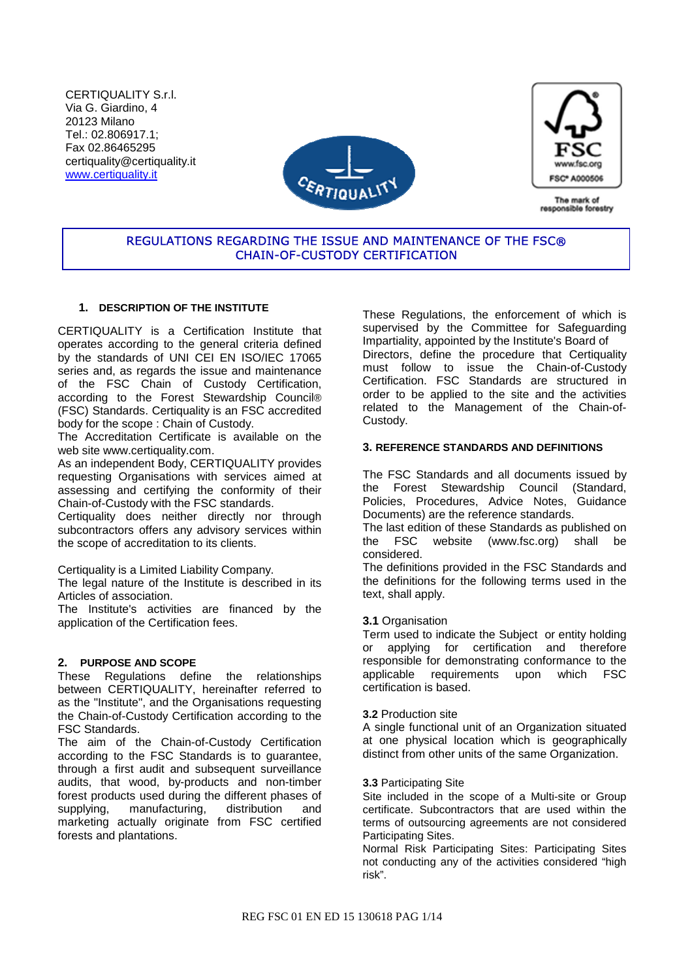CERTIQUALITY S.r.l. Via G. Giardino, 4 20123 Milano Tel.: 02.806917.1; Fax 02.86465295 certiquality@certiquality.it www.certiquality.it





The mark of responsible forestry

# REGULATIONS REGARDING THE ISSUE AND MAINTENANCE OF THE FSC® CHAIN-OF-CUSTODY CERTIFICATION

## **1. DESCRIPTION OF THE INSTITUTE**

CERTIQUALITY is a Certification Institute that operates according to the general criteria defined by the standards of UNI CEI EN ISO/IEC 17065 series and, as regards the issue and maintenance of the FSC Chain of Custody Certification, according to the Forest Stewardship Council® (FSC) Standards. Certiquality is an FSC accredited body for the scope : Chain of Custody.

The Accreditation Certificate is available on the web site www.certiquality.com.

As an independent Body, CERTIQUALITY provides requesting Organisations with services aimed at assessing and certifying the conformity of their Chain-of-Custody with the FSC standards.

Certiquality does neither directly nor through subcontractors offers any advisory services within the scope of accreditation to its clients.

Certiquality is a Limited Liability Company.

The legal nature of the Institute is described in its Articles of association.

The Institute's activities are financed by the application of the Certification fees.

## **2. PURPOSE AND SCOPE**

These Regulations define the relationships between CERTIQUALITY, hereinafter referred to as the "Institute", and the Organisations requesting the Chain-of-Custody Certification according to the FSC Standards.

The aim of the Chain-of-Custody Certification according to the FSC Standards is to guarantee, through a first audit and subsequent surveillance audits, that wood, by-products and non-timber forest products used during the different phases of supplying, manufacturing, distribution and marketing actually originate from FSC certified forests and plantations.

These Regulations, the enforcement of which is supervised by the Committee for Safeguarding Impartiality, appointed by the Institute's Board of Directors, define the procedure that Certiquality must follow to issue the Chain-of-Custody Certification. FSC Standards are structured in order to be applied to the site and the activities related to the Management of the Chain-of-Custody.

### **3. REFERENCE STANDARDS AND DEFINITIONS**

The FSC Standards and all documents issued by the Forest Stewardship Council (Standard, Policies, Procedures, Advice Notes, Guidance Documents) are the reference standards.

The last edition of these Standards as published on<br>the FSC website (www.fsc.org) shall be website (www.fsc.org) shall be considered.

The definitions provided in the FSC Standards and the definitions for the following terms used in the text, shall apply.

### **3.1** Organisation

Term used to indicate the Subject or entity holding or applying for certification and therefore responsible for demonstrating conformance to the applicable requirements upon which FSC certification is based.

### **3.2** Production site

A single functional unit of an Organization situated at one physical location which is geographically distinct from other units of the same Organization.

### **3.3** Participating Site

Site included in the scope of a Multi-site or Group certificate. Subcontractors that are used within the terms of outsourcing agreements are not considered Participating Sites.

Normal Risk Participating Sites: Participating Sites not conducting any of the activities considered "high risk".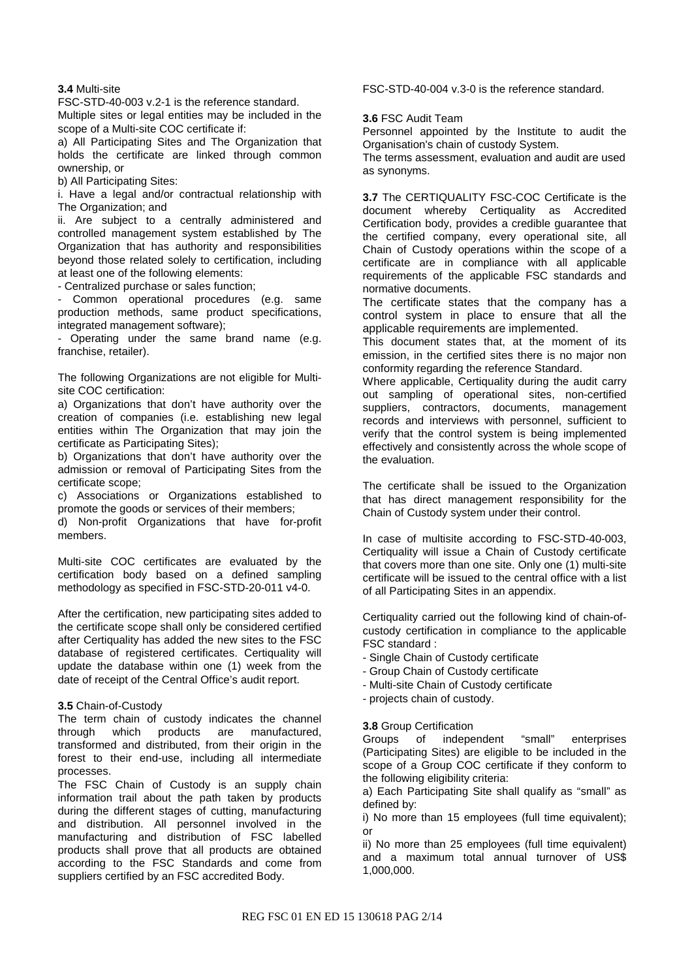### **3.4** Multi-site

FSC-STD-40-003 v.2-1 is the reference standard.

Multiple sites or legal entities may be included in the scope of a Multi-site COC certificate if:

a) All Participating Sites and The Organization that holds the certificate are linked through common ownership, or

b) All Participating Sites:

i. Have a legal and/or contractual relationship with The Organization; and

ii. Are subject to a centrally administered and controlled management system established by The Organization that has authority and responsibilities beyond those related solely to certification, including at least one of the following elements:

- Centralized purchase or sales function;

- Common operational procedures (e.g. same production methods, same product specifications, integrated management software);

Operating under the same brand name (e.g. franchise, retailer).

The following Organizations are not eligible for Multisite COC certification:

a) Organizations that don't have authority over the creation of companies (i.e. establishing new legal entities within The Organization that may join the certificate as Participating Sites);

b) Organizations that don't have authority over the admission or removal of Participating Sites from the certificate scope;

c) Associations or Organizations established to promote the goods or services of their members;

d) Non-profit Organizations that have for-profit members.

Multi-site COC certificates are evaluated by the certification body based on a defined sampling methodology as specified in FSC-STD-20-011 v4-0.

After the certification, new participating sites added to the certificate scope shall only be considered certified after Certiquality has added the new sites to the FSC database of registered certificates. Certiquality will update the database within one (1) week from the date of receipt of the Central Office's audit report.

#### **3.5** Chain-of-Custody

The term chain of custody indicates the channel through which products are manufactured, transformed and distributed, from their origin in the forest to their end-use, including all intermediate processes.

The FSC Chain of Custody is an supply chain information trail about the path taken by products during the different stages of cutting, manufacturing and distribution. All personnel involved in the manufacturing and distribution of FSC labelled products shall prove that all products are obtained according to the FSC Standards and come from suppliers certified by an FSC accredited Body.

FSC-STD-40-004 v.3-0 is the reference standard.

**3.6** FSC Audit Team

Personnel appointed by the Institute to audit the Organisation's chain of custody System.

The terms assessment, evaluation and audit are used as synonyms.

**3.7** The CERTIQUALITY FSC-COC Certificate is the document whereby Certiquality as Accredited Certification body, provides a credible guarantee that the certified company, every operational site, all Chain of Custody operations within the scope of a certificate are in compliance with all applicable requirements of the applicable FSC standards and normative documents.

The certificate states that the company has a control system in place to ensure that all the applicable requirements are implemented.

This document states that, at the moment of its emission, in the certified sites there is no major non conformity regarding the reference Standard.

Where applicable, Certiquality during the audit carry out sampling of operational sites, non-certified suppliers, contractors, documents, management records and interviews with personnel, sufficient to verify that the control system is being implemented effectively and consistently across the whole scope of the evaluation.

The certificate shall be issued to the Organization that has direct management responsibility for the Chain of Custody system under their control.

In case of multisite according to FSC-STD-40-003, Certiquality will issue a Chain of Custody certificate that covers more than one site. Only one (1) multi-site certificate will be issued to the central office with a list of all Participating Sites in an appendix.

Certiquality carried out the following kind of chain-ofcustody certification in compliance to the applicable FSC standard :

- Single Chain of Custody certificate
- Group Chain of Custody certificate
- Multi-site Chain of Custody certificate
- projects chain of custody.

#### **3.8** Group Certification

Groups of independent "small" enterprises (Participating Sites) are eligible to be included in the scope of a Group COC certificate if they conform to the following eligibility criteria:

a) Each Participating Site shall qualify as "small" as defined by:

i) No more than 15 employees (full time equivalent); or

ii) No more than 25 employees (full time equivalent) and a maximum total annual turnover of US\$ 1,000,000.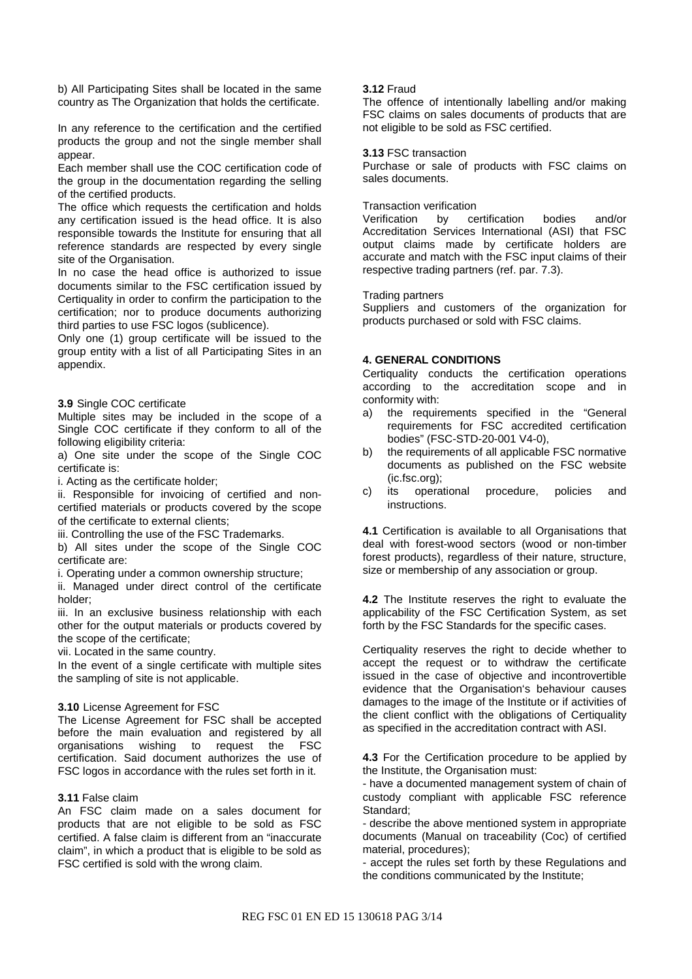b) All Participating Sites shall be located in the same country as The Organization that holds the certificate.

In any reference to the certification and the certified products the group and not the single member shall appear.

Each member shall use the COC certification code of the group in the documentation regarding the selling of the certified products.

The office which requests the certification and holds any certification issued is the head office. It is also responsible towards the Institute for ensuring that all reference standards are respected by every single site of the Organisation.

In no case the head office is authorized to issue documents similar to the FSC certification issued by Certiquality in order to confirm the participation to the certification; nor to produce documents authorizing third parties to use FSC logos (sublicence).

Only one (1) group certificate will be issued to the group entity with a list of all Participating Sites in an appendix.

#### **3.9** Single COC certificate

Multiple sites may be included in the scope of a Single COC certificate if they conform to all of the following eligibility criteria:

a) One site under the scope of the Single COC certificate is:

i. Acting as the certificate holder;

ii. Responsible for invoicing of certified and noncertified materials or products covered by the scope of the certificate to external clients;

iii. Controlling the use of the FSC Trademarks.

b) All sites under the scope of the Single COC certificate are:

i. Operating under a common ownership structure;

ii. Managed under direct control of the certificate holder;

iii. In an exclusive business relationship with each other for the output materials or products covered by the scope of the certificate;

vii. Located in the same country.

In the event of a single certificate with multiple sites the sampling of site is not applicable.

#### **3.10** License Agreement for FSC

The License Agreement for FSC shall be accepted before the main evaluation and registered by all organisations wishing to request the FSC certification. Said document authorizes the use of FSC logos in accordance with the rules set forth in it.

#### **3.11** False claim

An FSC claim made on a sales document for products that are not eligible to be sold as FSC certified. A false claim is different from an "inaccurate claim", in which a product that is eligible to be sold as FSC certified is sold with the wrong claim.

#### **3.12** Fraud

The offence of intentionally labelling and/or making FSC claims on sales documents of products that are not eligible to be sold as FSC certified.

#### **3.13** FSC transaction

Purchase or sale of products with FSC claims on sales documents.

#### Transaction verification

Verification by certification bodies and/or Accreditation Services International (ASI) that FSC output claims made by certificate holders are accurate and match with the FSC input claims of their respective trading partners (ref. par. 7.3).

#### Trading partners

Suppliers and customers of the organization for products purchased or sold with FSC claims.

#### **4. GENERAL CONDITIONS**

Certiquality conducts the certification operations according to the accreditation scope and in conformity with:

- a) the requirements specified in the "General requirements for FSC accredited certification bodies" (FSC-STD-20-001 V4-0),
- b) the requirements of all applicable FSC normative documents as published on the FSC website (ic.fsc.org);
- c) its operational procedure, policies and instructions.

**4.1** Certification is available to all Organisations that deal with forest-wood sectors (wood or non-timber forest products), regardless of their nature, structure, size or membership of any association or group.

**4.2** The Institute reserves the right to evaluate the applicability of the FSC Certification System, as set forth by the FSC Standards for the specific cases.

Certiquality reserves the right to decide whether to accept the request or to withdraw the certificate issued in the case of objective and incontrovertible evidence that the Organisation's behaviour causes damages to the image of the Institute or if activities of the client conflict with the obligations of Certiquality as specified in the accreditation contract with ASI.

**4.3** For the Certification procedure to be applied by the Institute, the Organisation must:

- have a documented management system of chain of custody compliant with applicable FSC reference Standard;

- describe the above mentioned system in appropriate documents (Manual on traceability (Coc) of certified material, procedures);

- accept the rules set forth by these Regulations and the conditions communicated by the Institute;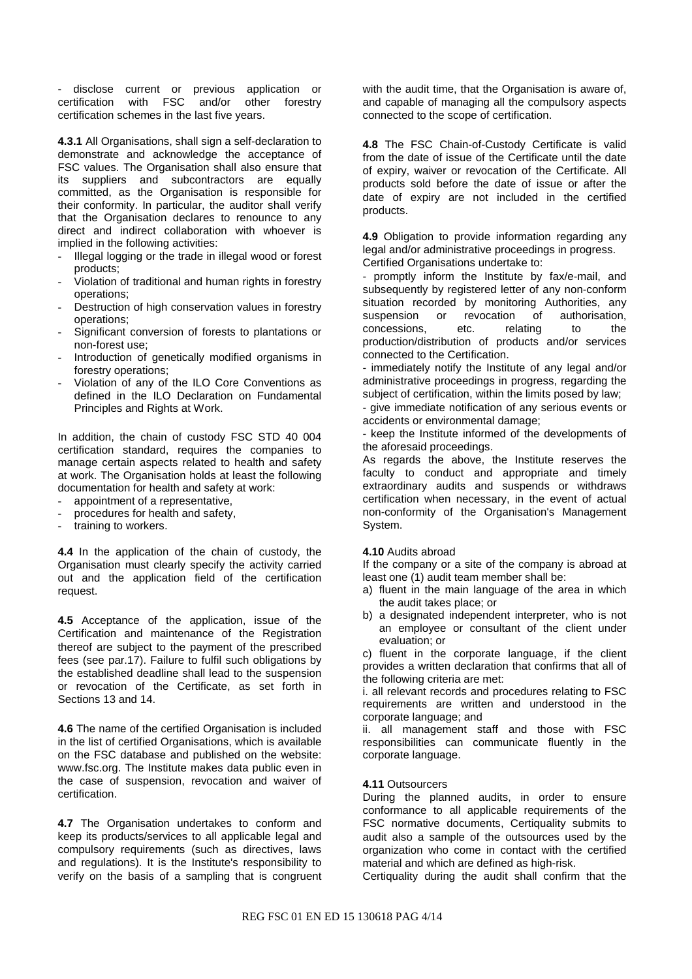- disclose current or previous application or certification with FSC and/or other forestry certification schemes in the last five years.

**4.3.1** All Organisations, shall sign a self-declaration to demonstrate and acknowledge the acceptance of FSC values. The Organisation shall also ensure that its suppliers and subcontractors are equally committed, as the Organisation is responsible for their conformity. In particular, the auditor shall verify that the Organisation declares to renounce to any direct and indirect collaboration with whoever is implied in the following activities:

- Illegal logging or the trade in illegal wood or forest products;
- Violation of traditional and human rights in forestry operations;
- Destruction of high conservation values in forestry operations;
- Significant conversion of forests to plantations or non-forest use;
- Introduction of genetically modified organisms in forestry operations;
- Violation of any of the ILO Core Conventions as defined in the ILO Declaration on Fundamental Principles and Rights at Work.

In addition, the chain of custody FSC STD 40 004 certification standard, requires the companies to manage certain aspects related to health and safety at work. The Organisation holds at least the following documentation for health and safety at work:

- appointment of a representative,
- procedures for health and safety,
- training to workers.

**4.4** In the application of the chain of custody, the Organisation must clearly specify the activity carried out and the application field of the certification request.

**4.5** Acceptance of the application, issue of the Certification and maintenance of the Registration thereof are subject to the payment of the prescribed fees (see par.17). Failure to fulfil such obligations by the established deadline shall lead to the suspension or revocation of the Certificate, as set forth in Sections 13 and 14.

**4.6** The name of the certified Organisation is included in the list of certified Organisations, which is available on the FSC database and published on the website: www.fsc.org. The Institute makes data public even in the case of suspension, revocation and waiver of certification.

**4.7** The Organisation undertakes to conform and keep its products/services to all applicable legal and compulsory requirements (such as directives, laws and regulations). It is the Institute's responsibility to verify on the basis of a sampling that is congruent with the audit time, that the Organisation is aware of, and capable of managing all the compulsory aspects connected to the scope of certification.

**4.8** The FSC Chain-of-Custody Certificate is valid from the date of issue of the Certificate until the date of expiry, waiver or revocation of the Certificate. All products sold before the date of issue or after the date of expiry are not included in the certified products.

**4.9** Obligation to provide information regarding any legal and/or administrative proceedings in progress. Certified Organisations undertake to:

- promptly inform the Institute by fax/e-mail, and subsequently by registered letter of any non-conform situation recorded by monitoring Authorities, any suspension or revocation of authorisation, concessions, etc. relating to the production/distribution of products and/or services connected to the Certification.

- immediately notify the Institute of any legal and/or administrative proceedings in progress, regarding the subject of certification, within the limits posed by law;

- give immediate notification of any serious events or accidents or environmental damage;

- keep the Institute informed of the developments of the aforesaid proceedings.

As regards the above, the Institute reserves the faculty to conduct and appropriate and timely extraordinary audits and suspends or withdraws certification when necessary, in the event of actual non-conformity of the Organisation's Management System.

#### **4.10** Audits abroad

If the company or a site of the company is abroad at least one (1) audit team member shall be:

- a) fluent in the main language of the area in which the audit takes place; or
- b) a designated independent interpreter, who is not an employee or consultant of the client under evaluation; or

c) fluent in the corporate language, if the client provides a written declaration that confirms that all of the following criteria are met:

i. all relevant records and procedures relating to FSC requirements are written and understood in the corporate language; and

ii. all management staff and those with FSC responsibilities can communicate fluently in the corporate language.

### **4.11** Outsourcers

During the planned audits, in order to ensure conformance to all applicable requirements of the FSC normative documents, Certiquality submits to audit also a sample of the outsources used by the organization who come in contact with the certified material and which are defined as high-risk.

Certiquality during the audit shall confirm that the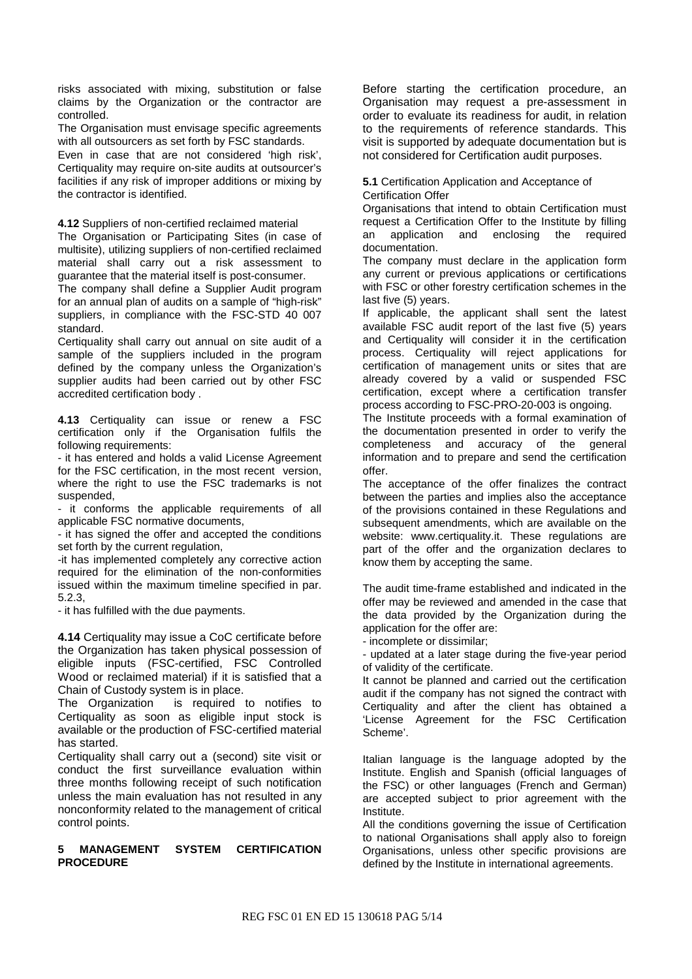risks associated with mixing, substitution or false claims by the Organization or the contractor are controlled.

The Organisation must envisage specific agreements with all outsourcers as set forth by FSC standards.

Even in case that are not considered 'high risk', Certiquality may require on-site audits at outsourcer's facilities if any risk of improper additions or mixing by the contractor is identified.

**4.12** Suppliers of non-certified reclaimed material

The Organisation or Participating Sites (in case of multisite), utilizing suppliers of non-certified reclaimed material shall carry out a risk assessment to guarantee that the material itself is post-consumer.

The company shall define a Supplier Audit program for an annual plan of audits on a sample of "high-risk" suppliers, in compliance with the FSC-STD 40 007 standard.

Certiquality shall carry out annual on site audit of a sample of the suppliers included in the program defined by the company unless the Organization's supplier audits had been carried out by other FSC accredited certification body .

**4.13** Certiquality can issue or renew a FSC certification only if the Organisation fulfils the following requirements:

- it has entered and holds a valid License Agreement for the FSC certification, in the most recent version, where the right to use the FSC trademarks is not suspended,

it conforms the applicable requirements of all applicable FSC normative documents,

- it has signed the offer and accepted the conditions set forth by the current regulation,

-it has implemented completely any corrective action required for the elimination of the non-conformities issued within the maximum timeline specified in par. 5.2.3,

- it has fulfilled with the due payments.

**4.14** Certiquality may issue a CoC certificate before the Organization has taken physical possession of eligible inputs (FSC-certified, FSC Controlled Wood or reclaimed material) if it is satisfied that a Chain of Custody system is in place.

The Organization is required to notifies to Certiquality as soon as eligible input stock is available or the production of FSC-certified material has started.

Certiquality shall carry out a (second) site visit or conduct the first surveillance evaluation within three months following receipt of such notification unless the main evaluation has not resulted in any nonconformity related to the management of critical control points.

### **5 MANAGEMENT SYSTEM CERTIFICATION PROCEDURE**

Before starting the certification procedure, an Organisation may request a pre-assessment in order to evaluate its readiness for audit, in relation to the requirements of reference standards. This visit is supported by adequate documentation but is not considered for Certification audit purposes.

**5.1** Certification Application and Acceptance of Certification Offer

Organisations that intend to obtain Certification must request a Certification Offer to the Institute by filling an application and enclosing the required documentation.

The company must declare in the application form any current or previous applications or certifications with FSC or other forestry certification schemes in the last five (5) years.

If applicable, the applicant shall sent the latest available FSC audit report of the last five (5) years and Certiquality will consider it in the certification process. Certiquality will reject applications for certification of management units or sites that are already covered by a valid or suspended FSC certification, except where a certification transfer process according to FSC-PRO-20-003 is ongoing.

The Institute proceeds with a formal examination of the documentation presented in order to verify the completeness and accuracy of the general information and to prepare and send the certification offer.

The acceptance of the offer finalizes the contract between the parties and implies also the acceptance of the provisions contained in these Regulations and subsequent amendments, which are available on the website: www.certiquality.it. These regulations are part of the offer and the organization declares to know them by accepting the same.

The audit time-frame established and indicated in the offer may be reviewed and amended in the case that the data provided by the Organization during the application for the offer are:

- incomplete or dissimilar;

- updated at a later stage during the five-year period of validity of the certificate.

It cannot be planned and carried out the certification audit if the company has not signed the contract with Certiquality and after the client has obtained a 'License Agreement for the FSC Certification Scheme'.

Italian language is the language adopted by the Institute. English and Spanish (official languages of the FSC) or other languages (French and German) are accepted subject to prior agreement with the Institute.

All the conditions governing the issue of Certification to national Organisations shall apply also to foreign Organisations, unless other specific provisions are defined by the Institute in international agreements.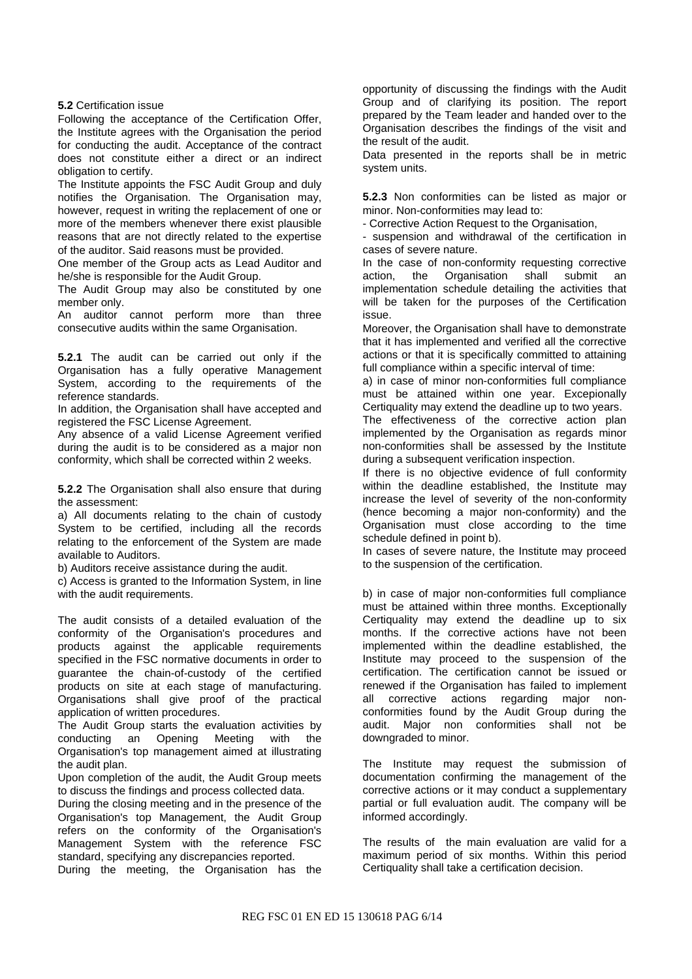#### **5.2** Certification issue

Following the acceptance of the Certification Offer, the Institute agrees with the Organisation the period for conducting the audit. Acceptance of the contract does not constitute either a direct or an indirect obligation to certify.

The Institute appoints the FSC Audit Group and duly notifies the Organisation. The Organisation may, however, request in writing the replacement of one or more of the members whenever there exist plausible reasons that are not directly related to the expertise of the auditor. Said reasons must be provided.

One member of the Group acts as Lead Auditor and he/she is responsible for the Audit Group.

The Audit Group may also be constituted by one member only.

An auditor cannot perform more than three consecutive audits within the same Organisation.

**5.2.1** The audit can be carried out only if the Organisation has a fully operative Management System, according to the requirements of the reference standards.

In addition, the Organisation shall have accepted and registered the FSC License Agreement.

Any absence of a valid License Agreement verified during the audit is to be considered as a major non conformity, which shall be corrected within 2 weeks.

**5.2.2** The Organisation shall also ensure that during the assessment:

a) All documents relating to the chain of custody System to be certified, including all the records relating to the enforcement of the System are made available to Auditors.

b) Auditors receive assistance during the audit.

c) Access is granted to the Information System, in line with the audit requirements.

The audit consists of a detailed evaluation of the conformity of the Organisation's procedures and products against the applicable requirements specified in the FSC normative documents in order to guarantee the chain-of-custody of the certified products on site at each stage of manufacturing. Organisations shall give proof of the practical application of written procedures.

The Audit Group starts the evaluation activities by conducting an Opening Meeting with the Organisation's top management aimed at illustrating the audit plan.

Upon completion of the audit, the Audit Group meets to discuss the findings and process collected data.

During the closing meeting and in the presence of the Organisation's top Management, the Audit Group refers on the conformity of the Organisation's Management System with the reference FSC standard, specifying any discrepancies reported.

During the meeting, the Organisation has the

opportunity of discussing the findings with the Audit Group and of clarifying its position. The report prepared by the Team leader and handed over to the Organisation describes the findings of the visit and the result of the audit.

Data presented in the reports shall be in metric system units.

**5.2.3** Non conformities can be listed as major or minor. Non-conformities may lead to:

- Corrective Action Request to the Organisation,

- suspension and withdrawal of the certification in cases of severe nature.

In the case of non-conformity requesting corrective action, the Organisation shall submit an implementation schedule detailing the activities that will be taken for the purposes of the Certification issue.

Moreover, the Organisation shall have to demonstrate that it has implemented and verified all the corrective actions or that it is specifically committed to attaining full compliance within a specific interval of time:

a) in case of minor non-conformities full compliance must be attained within one year. Excepionally Certiquality may extend the deadline up to two years.

The effectiveness of the corrective action plan implemented by the Organisation as regards minor non-conformities shall be assessed by the Institute during a subsequent verification inspection.

If there is no objective evidence of full conformity within the deadline established, the Institute may increase the level of severity of the non-conformity (hence becoming a major non-conformity) and the Organisation must close according to the time schedule defined in point b).

In cases of severe nature, the Institute may proceed to the suspension of the certification.

b) in case of major non-conformities full compliance must be attained within three months. Exceptionally Certiquality may extend the deadline up to six months. If the corrective actions have not been implemented within the deadline established, the Institute may proceed to the suspension of the certification. The certification cannot be issued or renewed if the Organisation has failed to implement all corrective actions regarding major nonconformities found by the Audit Group during the audit. Major non conformities shall not be downgraded to minor.

The Institute may request the submission of documentation confirming the management of the corrective actions or it may conduct a supplementary partial or full evaluation audit. The company will be informed accordingly.

The results of the main evaluation are valid for a maximum period of six months. Within this period Certiquality shall take a certification decision.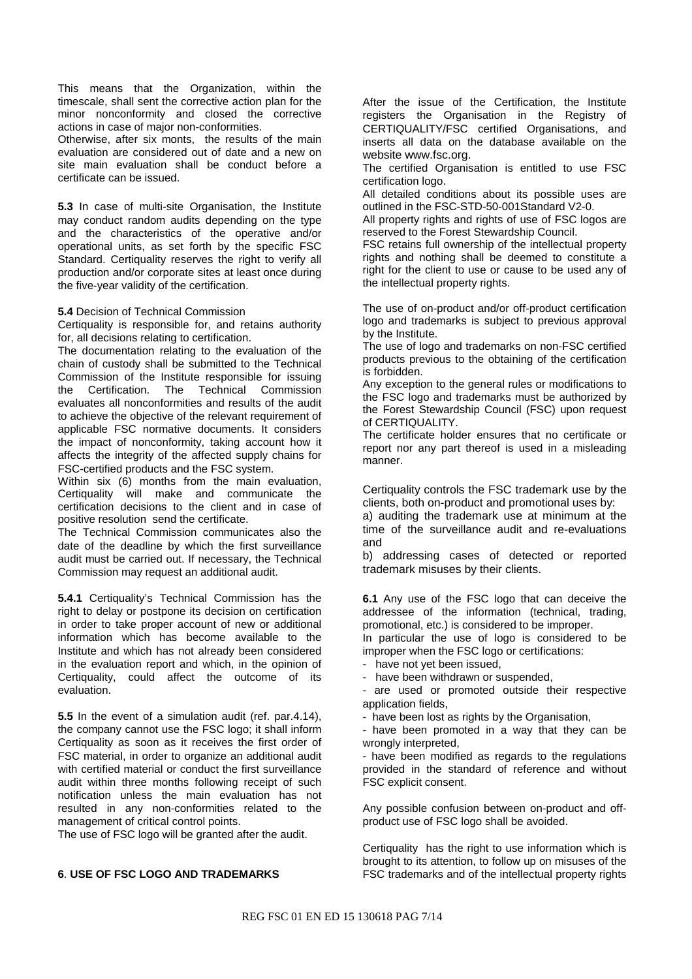This means that the Organization, within the timescale, shall sent the corrective action plan for the minor nonconformity and closed the corrective actions in case of major non-conformities.

Otherwise, after six monts, the results of the main evaluation are considered out of date and a new on site main evaluation shall be conduct before a certificate can be issued.

**5.3** In case of multi-site Organisation, the Institute may conduct random audits depending on the type and the characteristics of the operative and/or operational units, as set forth by the specific FSC Standard. Certiquality reserves the right to verify all production and/or corporate sites at least once during the five-year validity of the certification.

#### **5.4** Decision of Technical Commission

Certiquality is responsible for, and retains authority for, all decisions relating to certification.

The documentation relating to the evaluation of the chain of custody shall be submitted to the Technical Commission of the Institute responsible for issuing the Certification. The Technical Commission evaluates all nonconformities and results of the audit to achieve the objective of the relevant requirement of applicable FSC normative documents. It considers the impact of nonconformity, taking account how it affects the integrity of the affected supply chains for FSC-certified products and the FSC system.

Within six (6) months from the main evaluation, Certiquality will make and communicate the certification decisions to the client and in case of positive resolution send the certificate.

The Technical Commission communicates also the date of the deadline by which the first surveillance audit must be carried out. If necessary, the Technical Commission may request an additional audit.

**5.4.1** Certiquality's Technical Commission has the right to delay or postpone its decision on certification in order to take proper account of new or additional information which has become available to the Institute and which has not already been considered in the evaluation report and which, in the opinion of Certiquality, could affect the outcome of its evaluation.

**5.5** In the event of a simulation audit (ref. par.4.14), the company cannot use the FSC logo; it shall inform Certiquality as soon as it receives the first order of FSC material, in order to organize an additional audit with certified material or conduct the first surveillance audit within three months following receipt of such notification unless the main evaluation has not resulted in any non-conformities related to the management of critical control points.

The use of FSC logo will be granted after the audit.

### **6**. **USE OF FSC LOGO AND TRADEMARKS**

After the issue of the Certification, the Institute registers the Organisation in the Registry of CERTIQUALITY/FSC certified Organisations, and inserts all data on the database available on the website www.fsc.org.

The certified Organisation is entitled to use FSC certification logo.

All detailed conditions about its possible uses are outlined in the FSC-STD-50-001Standard V2-0.

All property rights and rights of use of FSC logos are reserved to the Forest Stewardship Council.

FSC retains full ownership of the intellectual property rights and nothing shall be deemed to constitute a right for the client to use or cause to be used any of the intellectual property rights.

The use of on-product and/or off-product certification logo and trademarks is subject to previous approval by the Institute.

The use of logo and trademarks on non-FSC certified products previous to the obtaining of the certification is forbidden.

Any exception to the general rules or modifications to the FSC logo and trademarks must be authorized by the Forest Stewardship Council (FSC) upon request of CERTIQUALITY.

The certificate holder ensures that no certificate or report nor any part thereof is used in a misleading manner.

Certiquality controls the FSC trademark use by the clients, both on-product and promotional uses by:

a) auditing the trademark use at minimum at the time of the surveillance audit and re-evaluations and

b) addressing cases of detected or reported trademark misuses by their clients.

**6.1** Any use of the FSC logo that can deceive the addressee of the information (technical, trading, promotional, etc.) is considered to be improper.

In particular the use of logo is considered to be improper when the FSC logo or certifications:

have not yet been issued,

have been withdrawn or suspended,

are used or promoted outside their respective application fields,

- have been lost as rights by the Organisation,

- have been promoted in a way that they can be wrongly interpreted,

- have been modified as regards to the regulations provided in the standard of reference and without FSC explicit consent.

Any possible confusion between on-product and offproduct use of FSC logo shall be avoided.

Certiquality has the right to use information which is brought to its attention, to follow up on misuses of the FSC trademarks and of the intellectual property rights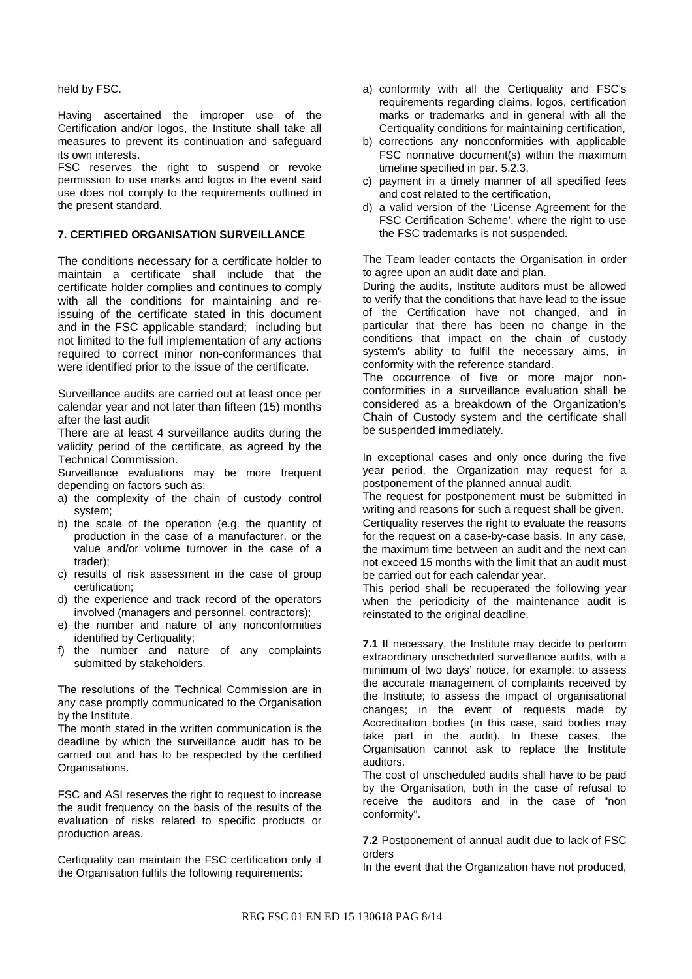held by FSC.

Having ascertained the improper use of the Certification and/or logos, the Institute shall take all measures to prevent its continuation and safeguard its own interests.

FSC reserves the right to suspend or revoke permission to use marks and logos in the event said use does not comply to the requirements outlined in the present standard.

### **7. CERTIFIED ORGANISATION SURVEILLANCE**

The conditions necessary for a certificate holder to maintain a certificate shall include that the certificate holder complies and continues to comply with all the conditions for maintaining and reissuing of the certificate stated in this document and in the FSC applicable standard; including but not limited to the full implementation of any actions required to correct minor non-conformances that were identified prior to the issue of the certificate.

Surveillance audits are carried out at least once per calendar year and not later than fifteen (15) months after the last audit

There are at least 4 surveillance audits during the validity period of the certificate, as agreed by the Technical Commission.

Surveillance evaluations may be more frequent depending on factors such as:

- a) the complexity of the chain of custody control system;
- b) the scale of the operation (e.g. the quantity of production in the case of a manufacturer, or the value and/or volume turnover in the case of a trader);
- c) results of risk assessment in the case of group certification;
- d) the experience and track record of the operators involved (managers and personnel, contractors);
- e) the number and nature of any nonconformities identified by Certiquality;
- f) the number and nature of any complaints submitted by stakeholders.

The resolutions of the Technical Commission are in any case promptly communicated to the Organisation by the Institute.

The month stated in the written communication is the deadline by which the surveillance audit has to be carried out and has to be respected by the certified Organisations.

FSC and ASI reserves the right to request to increase the audit frequency on the basis of the results of the evaluation of risks related to specific products or production areas.

Certiquality can maintain the FSC certification only if the Organisation fulfils the following requirements:

- a) conformity with all the Certiquality and FSC's requirements regarding claims, logos, certification marks or trademarks and in general with all the Certiquality conditions for maintaining certification,
- b) corrections any nonconformities with applicable FSC normative document(s) within the maximum timeline specified in par. 5.2.3,
- c) payment in a timely manner of all specified fees and cost related to the certification,
- d) a valid version of the 'License Agreement for the FSC Certification Scheme', where the right to use the FSC trademarks is not suspended.

The Team leader contacts the Organisation in order to agree upon an audit date and plan.

During the audits, Institute auditors must be allowed to verify that the conditions that have lead to the issue of the Certification have not changed, and in particular that there has been no change in the conditions that impact on the chain of custody system's ability to fulfil the necessary aims, in conformity with the reference standard.

The occurrence of five or more major nonconformities in a surveillance evaluation shall be considered as a breakdown of the Organization's Chain of Custody system and the certificate shall be suspended immediately.

In exceptional cases and only once during the five year period, the Organization may request for a postponement of the planned annual audit.

The request for postponement must be submitted in writing and reasons for such a request shall be given. Certiquality reserves the right to evaluate the reasons for the request on a case-by-case basis. In any case, the maximum time between an audit and the next can not exceed 15 months with the limit that an audit must be carried out for each calendar year.

This period shall be recuperated the following year when the periodicity of the maintenance audit is reinstated to the original deadline.

**7.1** If necessary, the Institute may decide to perform extraordinary unscheduled surveillance audits, with a minimum of two days' notice, for example: to assess the accurate management of complaints received by the Institute; to assess the impact of organisational changes; in the event of requests made by Accreditation bodies (in this case, said bodies may take part in the audit). In these cases, the Organisation cannot ask to replace the Institute auditors.

The cost of unscheduled audits shall have to be paid by the Organisation, both in the case of refusal to receive the auditors and in the case of "non conformity".

**7.2** Postponement of annual audit due to lack of FSC orders

In the event that the Organization have not produced,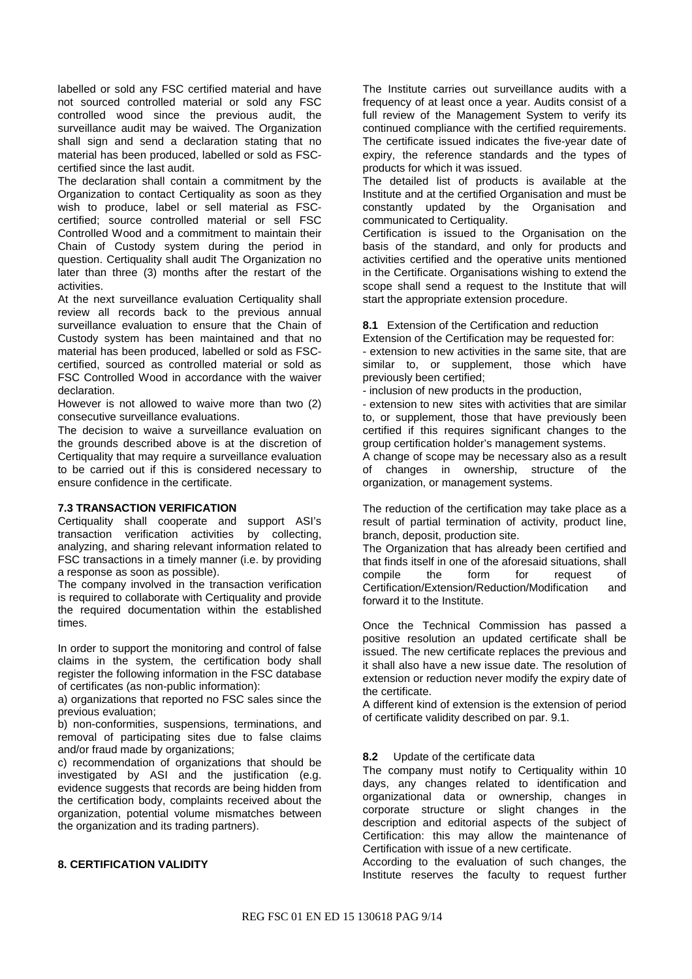labelled or sold any FSC certified material and have not sourced controlled material or sold any FSC controlled wood since the previous audit, the surveillance audit may be waived. The Organization shall sign and send a declaration stating that no material has been produced, labelled or sold as FSCcertified since the last audit.

The declaration shall contain a commitment by the Organization to contact Certiquality as soon as they wish to produce, label or sell material as FSCcertified; source controlled material or sell FSC Controlled Wood and a commitment to maintain their Chain of Custody system during the period in question. Certiquality shall audit The Organization no later than three (3) months after the restart of the activities.

At the next surveillance evaluation Certiquality shall review all records back to the previous annual surveillance evaluation to ensure that the Chain of Custody system has been maintained and that no material has been produced, labelled or sold as FSCcertified, sourced as controlled material or sold as FSC Controlled Wood in accordance with the waiver declaration.

However is not allowed to waive more than two (2) consecutive surveillance evaluations.

The decision to waive a surveillance evaluation on the grounds described above is at the discretion of Certiquality that may require a surveillance evaluation to be carried out if this is considered necessary to ensure confidence in the certificate.

### **7.3 TRANSACTION VERIFICATION**

Certiquality shall cooperate and support ASI's transaction verification activities by collecting, analyzing, and sharing relevant information related to FSC transactions in a timely manner (i.e. by providing a response as soon as possible).

The company involved in the transaction verification is required to collaborate with Certiquality and provide the required documentation within the established times.

In order to support the monitoring and control of false claims in the system, the certification body shall register the following information in the FSC database of certificates (as non-public information):

a) organizations that reported no FSC sales since the previous evaluation;

b) non-conformities, suspensions, terminations, and removal of participating sites due to false claims and/or fraud made by organizations;

c) recommendation of organizations that should be investigated by ASI and the justification (e.g. evidence suggests that records are being hidden from the certification body, complaints received about the organization, potential volume mismatches between the organization and its trading partners).

#### **8. CERTIFICATION VALIDITY**

The Institute carries out surveillance audits with a frequency of at least once a year. Audits consist of a full review of the Management System to verify its continued compliance with the certified requirements. The certificate issued indicates the five-year date of expiry, the reference standards and the types of products for which it was issued.

The detailed list of products is available at the Institute and at the certified Organisation and must be constantly updated by the Organisation and communicated to Certiquality.

Certification is issued to the Organisation on the basis of the standard, and only for products and activities certified and the operative units mentioned in the Certificate. Organisations wishing to extend the scope shall send a request to the Institute that will start the appropriate extension procedure.

**8.1** Extension of the Certification and reduction

Extension of the Certification may be requested for: - extension to new activities in the same site, that are similar to, or supplement, those which have previously been certified;

- inclusion of new products in the production,

- extension to new sites with activities that are similar to, or supplement, those that have previously been certified if this requires significant changes to the group certification holder's management systems.

A change of scope may be necessary also as a result of changes in ownership, structure of the organization, or management systems.

The reduction of the certification may take place as a result of partial termination of activity, product line, branch, deposit, production site.

The Organization that has already been certified and that finds itself in one of the aforesaid situations, shall compile the form for request of Certification/Extension/Reduction/Modification and forward it to the Institute.

Once the Technical Commission has passed a positive resolution an updated certificate shall be issued. The new certificate replaces the previous and it shall also have a new issue date. The resolution of extension or reduction never modify the expiry date of the certificate.

A different kind of extension is the extension of period of certificate validity described on par. 9.1.

### **8.2** Update of the certificate data

The company must notify to Certiquality within 10 days, any changes related to identification and organizational data or ownership, changes in corporate structure or slight changes in the description and editorial aspects of the subject of Certification: this may allow the maintenance of Certification with issue of a new certificate.

According to the evaluation of such changes, the Institute reserves the faculty to request further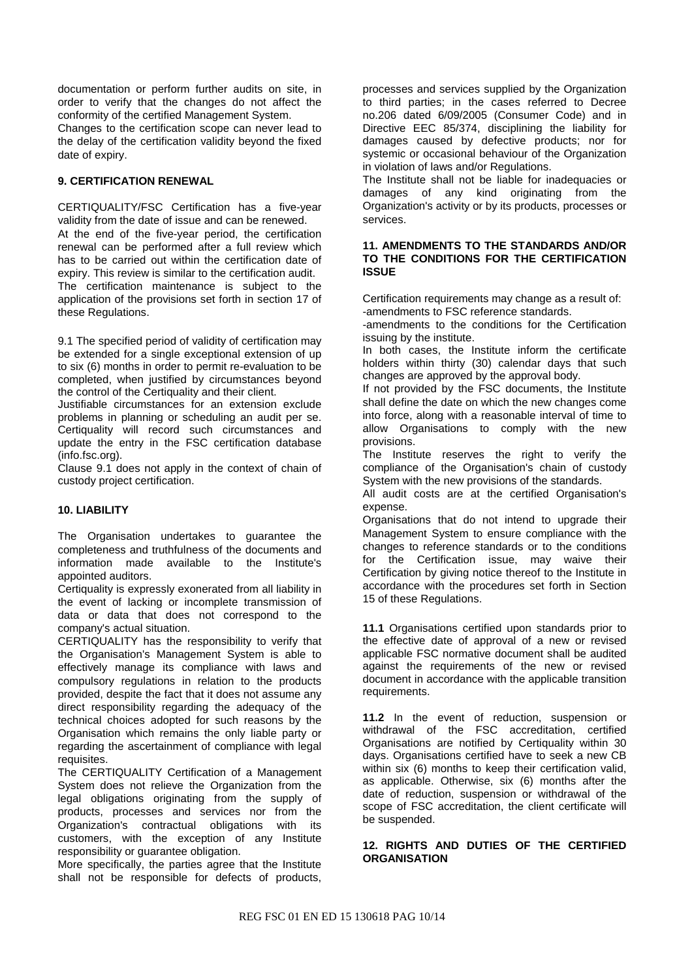documentation or perform further audits on site, in order to verify that the changes do not affect the conformity of the certified Management System. Changes to the certification scope can never lead to the delay of the certification validity beyond the fixed date of expiry.

### **9. CERTIFICATION RENEWAL**

CERTIQUALITY/FSC Certification has a five-year validity from the date of issue and can be renewed. At the end of the five-year period, the certification renewal can be performed after a full review which has to be carried out within the certification date of expiry. This review is similar to the certification audit. The certification maintenance is subject to the application of the provisions set forth in section 17 of these Regulations.

9.1 The specified period of validity of certification may be extended for a single exceptional extension of up to six (6) months in order to permit re-evaluation to be completed, when justified by circumstances beyond the control of the Certiquality and their client.

Justifiable circumstances for an extension exclude problems in planning or scheduling an audit per se. Certiquality will record such circumstances and update the entry in the FSC certification database (info.fsc.org).

Clause 9.1 does not apply in the context of chain of custody project certification.

### **10. LIABILITY**

The Organisation undertakes to guarantee the completeness and truthfulness of the documents and information made available to the Institute's appointed auditors.

Certiquality is expressly exonerated from all liability in the event of lacking or incomplete transmission of data or data that does not correspond to the company's actual situation.

CERTIQUALITY has the responsibility to verify that the Organisation's Management System is able to effectively manage its compliance with laws and compulsory regulations in relation to the products provided, despite the fact that it does not assume any direct responsibility regarding the adequacy of the technical choices adopted for such reasons by the Organisation which remains the only liable party or regarding the ascertainment of compliance with legal requisites.

The CERTIQUALITY Certification of a Management System does not relieve the Organization from the legal obligations originating from the supply of products, processes and services nor from the Organization's contractual obligations with its customers, with the exception of any Institute responsibility or guarantee obligation.

More specifically, the parties agree that the Institute shall not be responsible for defects of products, processes and services supplied by the Organization to third parties; in the cases referred to Decree no.206 dated 6/09/2005 (Consumer Code) and in Directive EEC 85/374, disciplining the liability for damages caused by defective products; nor for systemic or occasional behaviour of the Organization in violation of laws and/or Regulations.

The Institute shall not be liable for inadequacies or damages of any kind originating from the Organization's activity or by its products, processes or services.

### **11. AMENDMENTS TO THE STANDARDS AND/OR TO THE CONDITIONS FOR THE CERTIFICATION ISSUE**

Certification requirements may change as a result of: -amendments to FSC reference standards.

-amendments to the conditions for the Certification issuing by the institute.

In both cases, the Institute inform the certificate holders within thirty (30) calendar days that such changes are approved by the approval body.

If not provided by the FSC documents, the Institute shall define the date on which the new changes come into force, along with a reasonable interval of time to allow Organisations to comply with the new provisions.

The Institute reserves the right to verify the compliance of the Organisation's chain of custody System with the new provisions of the standards.

All audit costs are at the certified Organisation's expense.

Organisations that do not intend to upgrade their Management System to ensure compliance with the changes to reference standards or to the conditions for the Certification issue, may waive their Certification by giving notice thereof to the Institute in accordance with the procedures set forth in Section 15 of these Regulations.

**11.1** Organisations certified upon standards prior to the effective date of approval of a new or revised applicable FSC normative document shall be audited against the requirements of the new or revised document in accordance with the applicable transition requirements.

**11.2** In the event of reduction, suspension or withdrawal of the FSC accreditation, certified Organisations are notified by Certiquality within 30 days. Organisations certified have to seek a new CB within six (6) months to keep their certification valid, as applicable. Otherwise, six (6) months after the date of reduction, suspension or withdrawal of the scope of FSC accreditation, the client certificate will be suspended.

### **12. RIGHTS AND DUTIES OF THE CERTIFIED ORGANISATION**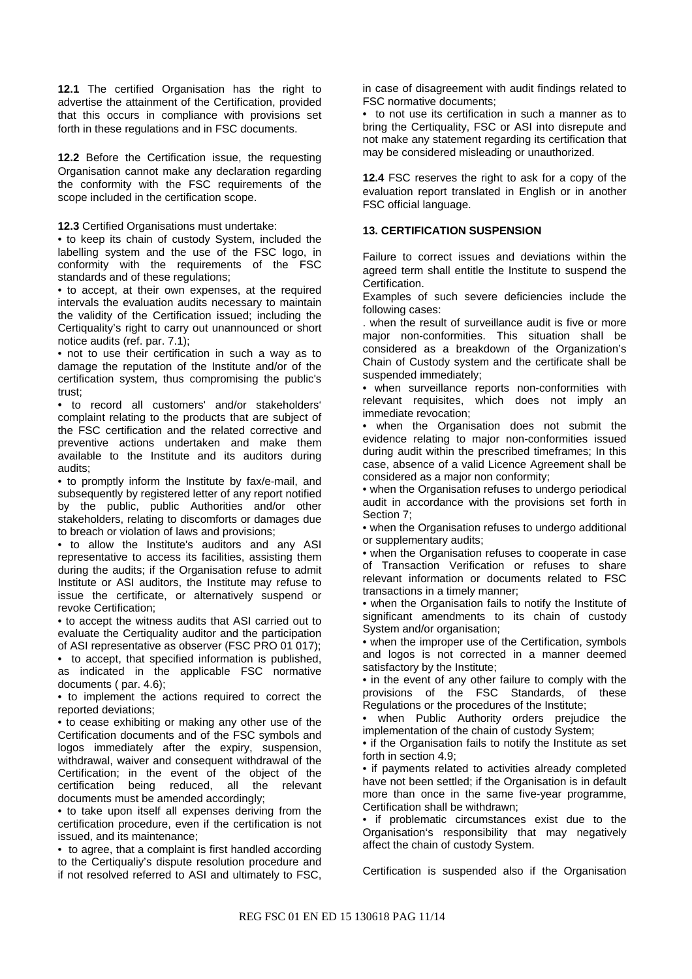**12.1** The certified Organisation has the right to advertise the attainment of the Certification, provided that this occurs in compliance with provisions set forth in these regulations and in FSC documents.

**12.2** Before the Certification issue, the requesting Organisation cannot make any declaration regarding the conformity with the FSC requirements of the scope included in the certification scope.

**12.3** Certified Organisations must undertake:

• to keep its chain of custody System, included the labelling system and the use of the FSC logo, in conformity with the requirements of the FSC standards and of these regulations;

• to accept, at their own expenses, at the required intervals the evaluation audits necessary to maintain the validity of the Certification issued; including the Certiquality's right to carry out unannounced or short notice audits (ref. par. 7.1);

• not to use their certification in such a way as to damage the reputation of the Institute and/or of the certification system, thus compromising the public's trust;

• to record all customers' and/or stakeholders' complaint relating to the products that are subject of the FSC certification and the related corrective and preventive actions undertaken and make them available to the Institute and its auditors during audits;

• to promptly inform the Institute by fax/e-mail, and subsequently by registered letter of any report notified by the public, public Authorities and/or other stakeholders, relating to discomforts or damages due to breach or violation of laws and provisions;

• to allow the Institute's auditors and any ASI representative to access its facilities, assisting them during the audits; if the Organisation refuse to admit Institute or ASI auditors, the Institute may refuse to issue the certificate, or alternatively suspend or revoke Certification;

• to accept the witness audits that ASI carried out to evaluate the Certiquality auditor and the participation of ASI representative as observer (FSC PRO 01 017);

• to accept, that specified information is published, as indicated in the applicable FSC normative documents ( par. 4.6);

• to implement the actions required to correct the reported deviations;

• to cease exhibiting or making any other use of the Certification documents and of the FSC symbols and logos immediately after the expiry, suspension, withdrawal, waiver and consequent withdrawal of the Certification; in the event of the object of the certification being reduced, all the relevant documents must be amended accordingly;

• to take upon itself all expenses deriving from the certification procedure, even if the certification is not issued, and its maintenance;

• to agree, that a complaint is first handled according to the Certiqualiy's dispute resolution procedure and if not resolved referred to ASI and ultimately to FSC, in case of disagreement with audit findings related to FSC normative documents;

• to not use its certification in such a manner as to bring the Certiquality, FSC or ASI into disrepute and not make any statement regarding its certification that may be considered misleading or unauthorized.

**12.4** FSC reserves the right to ask for a copy of the evaluation report translated in English or in another FSC official language.

#### **13. CERTIFICATION SUSPENSION**

Failure to correct issues and deviations within the agreed term shall entitle the Institute to suspend the Certification.

Examples of such severe deficiencies include the following cases:

. when the result of surveillance audit is five or more major non-conformities. This situation shall be considered as a breakdown of the Organization's Chain of Custody system and the certificate shall be suspended immediately;

• when surveillance reports non-conformities with relevant requisites, which does not imply an immediate revocation;

• when the Organisation does not submit the evidence relating to major non-conformities issued during audit within the prescribed timeframes; In this case, absence of a valid Licence Agreement shall be considered as a major non conformity;

• when the Organisation refuses to undergo periodical audit in accordance with the provisions set forth in Section 7;

• when the Organisation refuses to undergo additional or supplementary audits;

• when the Organisation refuses to cooperate in case of Transaction Verification or refuses to share relevant information or documents related to FSC transactions in a timely manner;

• when the Organisation fails to notify the Institute of significant amendments to its chain of custody System and/or organisation;

• when the improper use of the Certification, symbols and logos is not corrected in a manner deemed satisfactory by the Institute;

• in the event of any other failure to comply with the provisions of the FSC Standards, of these Regulations or the procedures of the Institute;

when Public Authority orders prejudice the implementation of the chain of custody System;

• if the Organisation fails to notify the Institute as set forth in section 4.9;

• if payments related to activities already completed have not been settled; if the Organisation is in default more than once in the same five-year programme, Certification shall be withdrawn;

• if problematic circumstances exist due to the Organisation's responsibility that may negatively affect the chain of custody System.

Certification is suspended also if the Organisation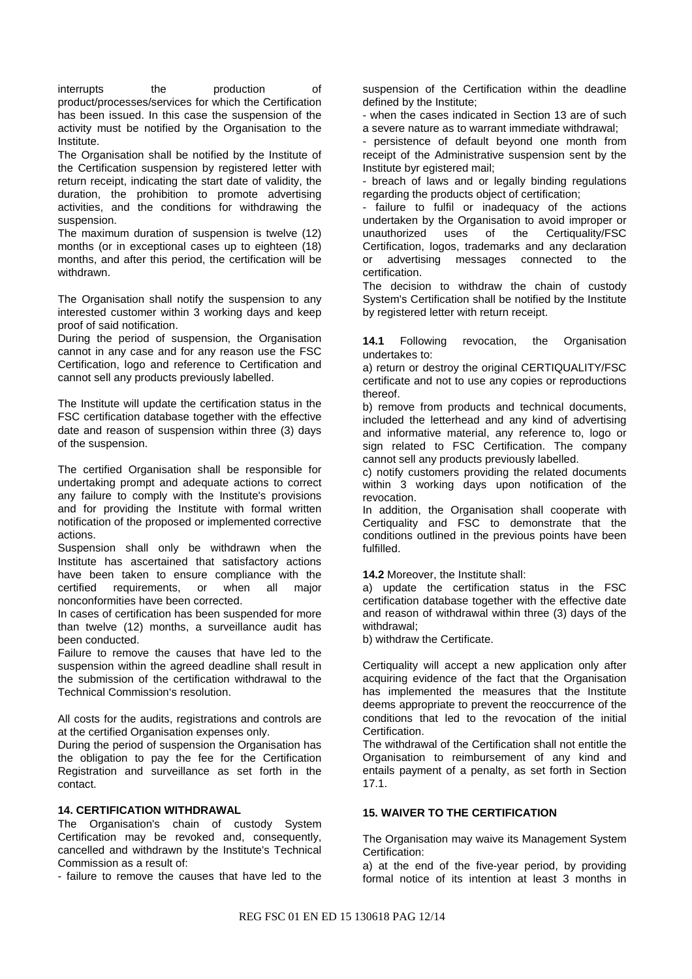interrupts the production of product/processes/services for which the Certification has been issued. In this case the suspension of the activity must be notified by the Organisation to the Institute.

The Organisation shall be notified by the Institute of the Certification suspension by registered letter with return receipt, indicating the start date of validity, the duration, the prohibition to promote advertising activities, and the conditions for withdrawing the suspension.

The maximum duration of suspension is twelve (12) months (or in exceptional cases up to eighteen (18) months, and after this period, the certification will be withdrawn.

The Organisation shall notify the suspension to any interested customer within 3 working days and keep proof of said notification.

During the period of suspension, the Organisation cannot in any case and for any reason use the FSC Certification, logo and reference to Certification and cannot sell any products previously labelled.

The Institute will update the certification status in the FSC certification database together with the effective date and reason of suspension within three (3) days of the suspension.

The certified Organisation shall be responsible for undertaking prompt and adequate actions to correct any failure to comply with the Institute's provisions and for providing the Institute with formal written notification of the proposed or implemented corrective actions.

Suspension shall only be withdrawn when the Institute has ascertained that satisfactory actions have been taken to ensure compliance with the certified requirements, or when all major nonconformities have been corrected.

In cases of certification has been suspended for more than twelve (12) months, a surveillance audit has been conducted.

Failure to remove the causes that have led to the suspension within the agreed deadline shall result in the submission of the certification withdrawal to the Technical Commission's resolution.

All costs for the audits, registrations and controls are at the certified Organisation expenses only.

During the period of suspension the Organisation has the obligation to pay the fee for the Certification Registration and surveillance as set forth in the contact.

## **14. CERTIFICATION WITHDRAWAL**

The Organisation's chain of custody System Certification may be revoked and, consequently, cancelled and withdrawn by the Institute's Technical Commission as a result of:

- failure to remove the causes that have led to the

suspension of the Certification within the deadline defined by the Institute;

- when the cases indicated in Section 13 are of such a severe nature as to warrant immediate withdrawal;

- persistence of default beyond one month from receipt of the Administrative suspension sent by the Institute byr egistered mail;

- breach of laws and or legally binding regulations regarding the products object of certification;

- failure to fulfil or inadequacy of the actions undertaken by the Organisation to avoid improper or unauthorized uses of the Certiquality/FSC Certification, logos, trademarks and any declaration or advertising messages connected to the certification.

The decision to withdraw the chain of custody System's Certification shall be notified by the Institute by registered letter with return receipt.

**14.1** Following revocation, the Organisation undertakes to:

a) return or destroy the original CERTIQUALITY/FSC certificate and not to use any copies or reproductions thereof.

b) remove from products and technical documents, included the letterhead and any kind of advertising and informative material, any reference to, logo or sign related to FSC Certification. The company cannot sell any products previously labelled.

c) notify customers providing the related documents within 3 working days upon notification of the revocation.

In addition, the Organisation shall cooperate with Certiquality and FSC to demonstrate that the conditions outlined in the previous points have been fulfilled.

**14.2** Moreover, the Institute shall:

a) update the certification status in the FSC certification database together with the effective date and reason of withdrawal within three (3) days of the withdrawal;

b) withdraw the Certificate.

Certiquality will accept a new application only after acquiring evidence of the fact that the Organisation has implemented the measures that the Institute deems appropriate to prevent the reoccurrence of the conditions that led to the revocation of the initial Certification.

The withdrawal of the Certification shall not entitle the Organisation to reimbursement of any kind and entails payment of a penalty, as set forth in Section 17.1.

### **15. WAIVER TO THE CERTIFICATION**

The Organisation may waive its Management System Certification:

a) at the end of the five-year period, by providing formal notice of its intention at least 3 months in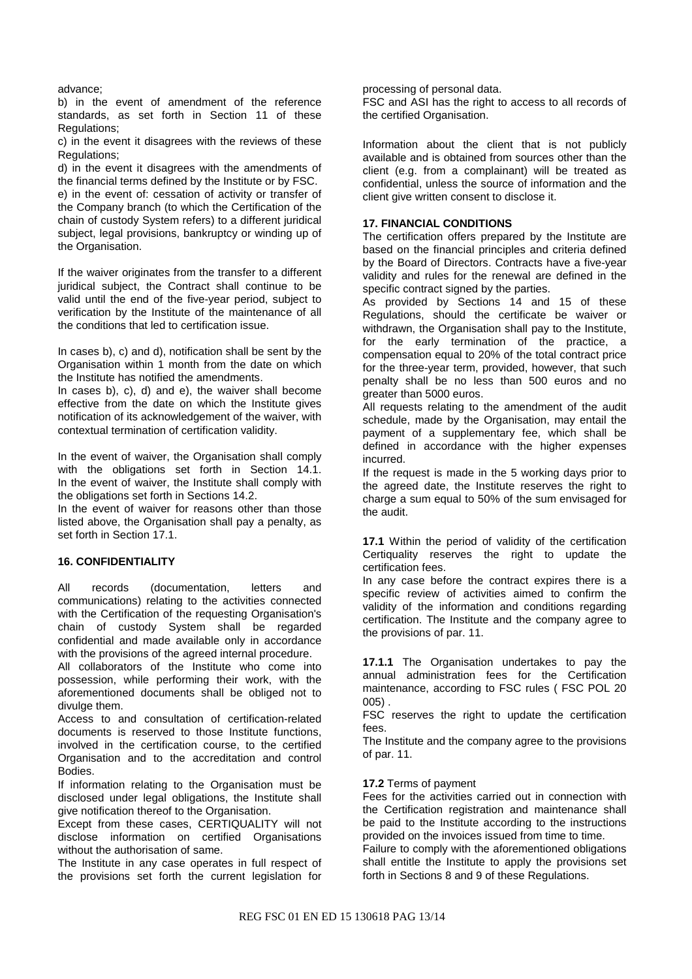advance;

b) in the event of amendment of the reference standards, as set forth in Section 11 of these Regulations;

c) in the event it disagrees with the reviews of these Regulations;

d) in the event it disagrees with the amendments of the financial terms defined by the Institute or by FSC. e) in the event of: cessation of activity or transfer of the Company branch (to which the Certification of the chain of custody System refers) to a different juridical subject, legal provisions, bankruptcy or winding up of

the Organisation.

If the waiver originates from the transfer to a different juridical subject, the Contract shall continue to be valid until the end of the five-year period, subject to verification by the Institute of the maintenance of all the conditions that led to certification issue.

In cases b), c) and d), notification shall be sent by the Organisation within 1 month from the date on which the Institute has notified the amendments.

In cases b), c), d) and e), the waiver shall become effective from the date on which the Institute gives notification of its acknowledgement of the waiver, with contextual termination of certification validity.

In the event of waiver, the Organisation shall comply with the obligations set forth in Section 14.1. In the event of waiver, the Institute shall comply with the obligations set forth in Sections 14.2.

In the event of waiver for reasons other than those listed above, the Organisation shall pay a penalty, as set forth in Section 17.1.

### **16. CONFIDENTIALITY**

All records (documentation, letters and communications) relating to the activities connected with the Certification of the requesting Organisation's chain of custody System shall be regarded confidential and made available only in accordance with the provisions of the agreed internal procedure.

All collaborators of the Institute who come into possession, while performing their work, with the aforementioned documents shall be obliged not to divulge them.

Access to and consultation of certification-related documents is reserved to those Institute functions, involved in the certification course, to the certified Organisation and to the accreditation and control Bodies.

If information relating to the Organisation must be disclosed under legal obligations, the Institute shall give notification thereof to the Organisation.

Except from these cases, CERTIQUALITY will not disclose information on certified Organisations without the authorisation of same.

The Institute in any case operates in full respect of the provisions set forth the current legislation for processing of personal data.

FSC and ASI has the right to access to all records of the certified Organisation.

Information about the client that is not publicly available and is obtained from sources other than the client (e.g. from a complainant) will be treated as confidential, unless the source of information and the client give written consent to disclose it.

### **17. FINANCIAL CONDITIONS**

The certification offers prepared by the Institute are based on the financial principles and criteria defined by the Board of Directors. Contracts have a five-year validity and rules for the renewal are defined in the specific contract signed by the parties.

As provided by Sections 14 and 15 of these Regulations, should the certificate be waiver or withdrawn, the Organisation shall pay to the Institute, for the early termination of the practice, a compensation equal to 20% of the total contract price for the three-year term, provided, however, that such penalty shall be no less than 500 euros and no greater than 5000 euros.

All requests relating to the amendment of the audit schedule, made by the Organisation, may entail the payment of a supplementary fee, which shall be defined in accordance with the higher expenses incurred.

If the request is made in the 5 working days prior to the agreed date, the Institute reserves the right to charge a sum equal to 50% of the sum envisaged for the audit.

**17.1** Within the period of validity of the certification Certiquality reserves the right to update the certification fees.

In any case before the contract expires there is a specific review of activities aimed to confirm the validity of the information and conditions regarding certification. The Institute and the company agree to the provisions of par. 11.

**17.1.1** The Organisation undertakes to pay the annual administration fees for the Certification maintenance, according to FSC rules ( FSC POL 20 005) .

FSC reserves the right to update the certification fees.

The Institute and the company agree to the provisions of par. 11.

### **17.2** Terms of payment

Fees for the activities carried out in connection with the Certification registration and maintenance shall be paid to the Institute according to the instructions provided on the invoices issued from time to time.

Failure to comply with the aforementioned obligations shall entitle the Institute to apply the provisions set forth in Sections 8 and 9 of these Regulations.